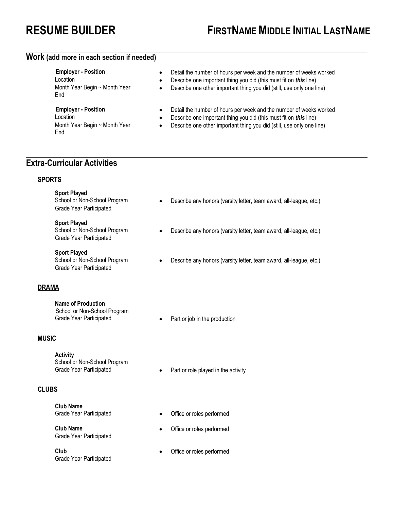### **Work (add more in each section if needed)**

End

- End
- **Employer Position**  Detail the number of hours per week and the number of weeks worked
- Location  **Describe one important thing you did (this must fit on** *this* **line)**<br>Month Year Begin ~ Month Year **•** Describe one other important thing you did (still, use only one l
	- Describe one other important thing you did (still, use only one line)
- **Employer Position**  Detail the number of hours per week and the number of weeks worked
- **Location** Describe one important thing you did (this must fit on *this* line)
- Month Year Begin ~ Month Year Describe one other important thing you did (still, use only one line)

## **Extra-Curricular Activities**

#### **SPORTS**

**Sport Played** 

Grade Year Participated

**Sport Played**  Grade Year Participated

**Sport Played**  Grade Year Participated

#### **DRAMA**

**Name of Production** 

School or Non-School Program

#### **MUSIC**

**Activity**  School or Non-School Program

#### **CLUBS**

**Club Name** 

Grade Year Participated

Grade Year Participated

- School or Non-School Program Describe any honors (varsity letter, team award, all-league, etc.)
- School or Non-School Program Describe any honors (varsity letter, team award, all-league, etc.)
- School or Non-School Program Describe any honors (varsity letter, team award, all-league, etc.)
- Grade Year Participated Part or job in the production
- Grade Year Participated **•** Part or role played in the activity
- Grade Year Participated **•** Office or roles performed
- **Club Name**  Office or roles performed
- **Club**  Office or roles performed